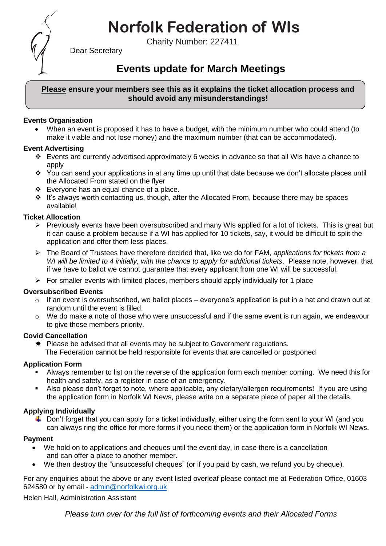# **Norfolk Federation of WIs**

Charity Number: 227411



Dear Secretary

## **Events update for March Meetings**

#### **Please ensure your members see this as it explains the ticket allocation process and should avoid any misunderstandings!**

#### **Events Organisation**

• When an event is proposed it has to have a budget, with the minimum number who could attend (to make it viable and not lose money) and the maximum number (that can be accommodated).

#### **Event Advertising**

- ❖ Events are currently advertised approximately 6 weeks in advance so that all WIs have a chance to apply
- ❖ You can send your applications in at any time up until that date because we don't allocate places until the Allocated From stated on the flyer
- ❖ Everyone has an equal chance of a place.
- ❖ It's always worth contacting us, though, after the Allocated From, because there may be spaces available!

#### **Ticket Allocation**

- $\triangleright$  Previously events have been oversubscribed and many WIs applied for a lot of tickets. This is great but it can cause a problem because if a WI has applied for 10 tickets, say, it would be difficult to split the application and offer them less places.
- ➢ The Board of Trustees have therefore decided that, like we do for FAM, *applications for tickets from a WI will be limited to 4 initially, with the chance to apply for additional tickets*. Please note, however, that if we have to ballot we cannot guarantee that every applicant from one WI will be successful.
- $\triangleright$  For smaller events with limited places, members should apply individually for 1 place

#### **Oversubscribed Events**

- $\circ$  If an event is oversubscribed, we ballot places everyone's application is put in a hat and drawn out at random until the event is filled.
- $\circ$  We do make a note of those who were unsuccessful and if the same event is run again, we endeavour to give those members priority.

#### **Covid Cancellation**

 $*$  Please be advised that all events may be subject to Government regulations. The Federation cannot be held responsible for events that are cancelled or postponed

#### **Application Form**

- Always remember to list on the reverse of the application form each member coming. We need this for health and safety, as a register in case of an emergency.
- Also please don't forget to note, where applicable, any dietary/allergen requirements! If you are using the application form in Norfolk WI News, please write on a separate piece of paper all the details.

### **Applying Individually**

 $\downarrow$  Don't forget that you can apply for a ticket individually, either using the form sent to your WI (and you can always ring the office for more forms if you need them) or the application form in Norfolk WI News.

#### **Payment**

- We hold on to applications and cheques until the event day, in case there is a cancellation and can offer a place to another member.
- We then destroy the "unsuccessful cheques" (or if you paid by cash, we refund you by cheque).

For any enquiries about the above or any event listed overleaf please contact me at Federation Office, 01603 624580 or by email - [admin@norfolkwi.org.uk](mailto:admin@norfolkwi.org.uk) 

Helen Hall, Administration Assistant

*Please turn over for the full list of forthcoming events and their Allocated Forms*